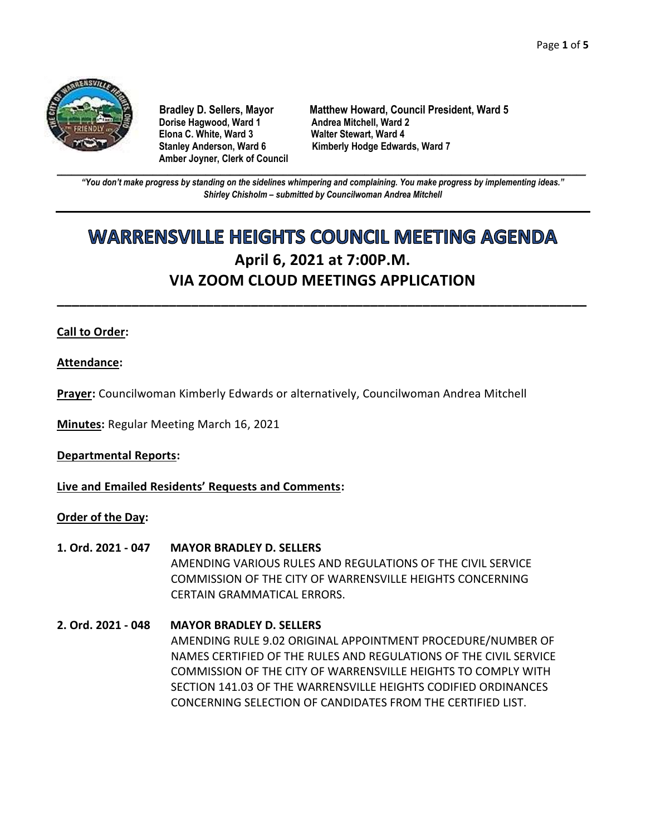

**Dorise Hagwood, Ward 1 Elona C. White, Ward 3 Walter Stewart, Ward 4 Amber Joyner, Clerk of Council**

**Bradley D. Sellers, Mayor Matthew Howard, Council President, Ward 5** Stanley Anderson, Ward 6 Kimberly Hodge Edwards, Ward 7

**\_\_\_\_\_\_\_\_\_\_\_\_\_\_\_\_\_\_\_\_\_\_\_\_\_\_\_\_\_\_\_\_\_\_\_\_\_\_\_\_\_\_\_\_\_\_\_\_\_\_\_\_\_\_\_\_\_\_\_\_\_\_\_\_\_\_\_\_\_\_\_\_\_\_\_\_\_\_\_\_\_\_\_\_\_\_\_\_\_\_\_\_\_\_\_\_\_\_\_\_\_\_\_\_\_\_\_\_\_\_** *"You don't make progress by standing on the sidelines whimpering and complaining. You make progress by implementing ideas." Shirley Chisholm – submitted by Councilwoman Andrea Mitchell*

# **WARRENSVILLE HEIGHTS COUNCIL MEETING AGENDA April 6, 2021 at 7:00P.M. VIA ZOOM CLOUD MEETINGS APPLICATION**

**\_\_\_\_\_\_\_\_\_\_\_\_\_\_\_\_\_\_\_\_\_\_\_\_\_\_\_\_\_\_\_\_\_\_\_\_\_\_\_\_\_\_\_\_\_\_\_\_\_\_\_\_\_\_\_\_\_\_\_\_\_\_\_\_\_\_\_\_\_\_\_**

# **Call to Order:**

**Attendance:**

**Prayer:** Councilwoman Kimberly Edwards or alternatively, Councilwoman Andrea Mitchell

**Minutes:** Regular Meeting March 16, 2021

**Departmental Reports:**

**Live and Emailed Residents' Requests and Comments:**

# **Order of the Day:**

- **1. Ord. 2021 - 047 MAYOR BRADLEY D. SELLERS** AMENDING VARIOUS RULES AND REGULATIONS OF THE CIVIL SERVICE COMMISSION OF THE CITY OF WARRENSVILLE HEIGHTS CONCERNING CERTAIN GRAMMATICAL ERRORS.
- **2. Ord. 2021 - 048 MAYOR BRADLEY D. SELLERS** AMENDING RULE 9.02 ORIGINAL APPOINTMENT PROCEDURE/NUMBER OF NAMES CERTIFIED OF THE RULES AND REGULATIONS OF THE CIVIL SERVICE COMMISSION OF THE CITY OF WARRENSVILLE HEIGHTS TO COMPLY WITH SECTION 141.03 OF THE WARRENSVILLE HEIGHTS CODIFIED ORDINANCES CONCERNING SELECTION OF CANDIDATES FROM THE CERTIFIED LIST.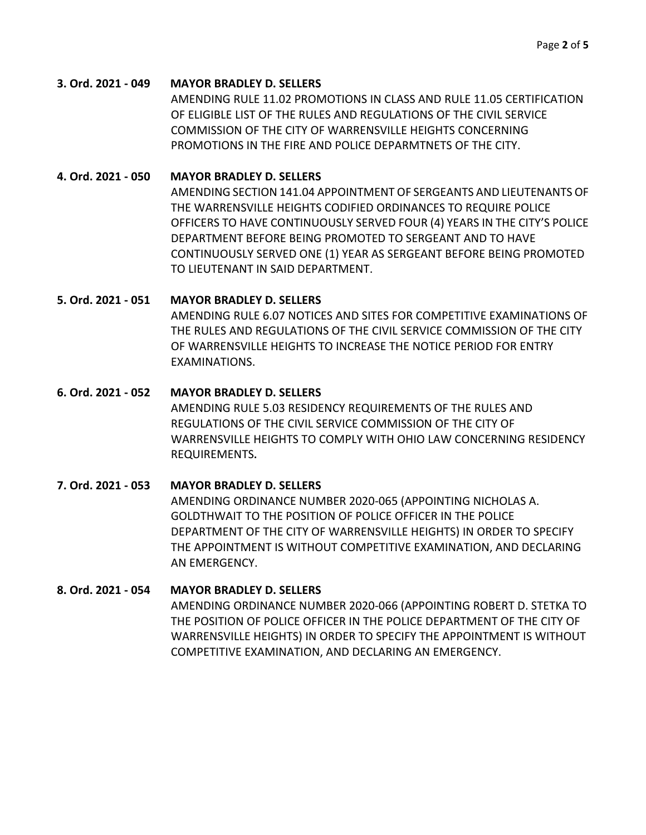#### **3. Ord. 2021 - 049 MAYOR BRADLEY D. SELLERS**

AMENDING RULE 11.02 PROMOTIONS IN CLASS AND RULE 11.05 CERTIFICATION OF ELIGIBLE LIST OF THE RULES AND REGULATIONS OF THE CIVIL SERVICE COMMISSION OF THE CITY OF WARRENSVILLE HEIGHTS CONCERNING PROMOTIONS IN THE FIRE AND POLICE DEPARMTNETS OF THE CITY.

#### **4. Ord. 2021 - 050 MAYOR BRADLEY D. SELLERS**

AMENDING SECTION 141.04 APPOINTMENT OF SERGEANTS AND LIEUTENANTS OF THE WARRENSVILLE HEIGHTS CODIFIED ORDINANCES TO REQUIRE POLICE OFFICERS TO HAVE CONTINUOUSLY SERVED FOUR (4) YEARS IN THE CITY'S POLICE DEPARTMENT BEFORE BEING PROMOTED TO SERGEANT AND TO HAVE CONTINUOUSLY SERVED ONE (1) YEAR AS SERGEANT BEFORE BEING PROMOTED TO LIEUTENANT IN SAID DEPARTMENT.

#### **5. Ord. 2021 - 051 MAYOR BRADLEY D. SELLERS**

AMENDING RULE 6.07 NOTICES AND SITES FOR COMPETITIVE EXAMINATIONS OF THE RULES AND REGULATIONS OF THE CIVIL SERVICE COMMISSION OF THE CITY OF WARRENSVILLE HEIGHTS TO INCREASE THE NOTICE PERIOD FOR ENTRY EXAMINATIONS.

# **6. Ord. 2021 - 052 MAYOR BRADLEY D. SELLERS** AMENDING RULE 5.03 RESIDENCY REQUIREMENTS OF THE RULES AND REGULATIONS OF THE CIVIL SERVICE COMMISSION OF THE CITY OF WARRENSVILLE HEIGHTS TO COMPLY WITH OHIO LAW CONCERNING RESIDENCY REQUIREMENTS**.**

# **7. Ord. 2021 - 053 MAYOR BRADLEY D. SELLERS** AMENDING ORDINANCE NUMBER 2020-065 (APPOINTING NICHOLAS A. GOLDTHWAIT TO THE POSITION OF POLICE OFFICER IN THE POLICE DEPARTMENT OF THE CITY OF WARRENSVILLE HEIGHTS) IN ORDER TO SPECIFY THE APPOINTMENT IS WITHOUT COMPETITIVE EXAMINATION, AND DECLARING AN EMERGENCY.

# **8. Ord. 2021 - 054 MAYOR BRADLEY D. SELLERS**

AMENDING ORDINANCE NUMBER 2020-066 (APPOINTING ROBERT D. STETKA TO THE POSITION OF POLICE OFFICER IN THE POLICE DEPARTMENT OF THE CITY OF WARRENSVILLE HEIGHTS) IN ORDER TO SPECIFY THE APPOINTMENT IS WITHOUT COMPETITIVE EXAMINATION, AND DECLARING AN EMERGENCY.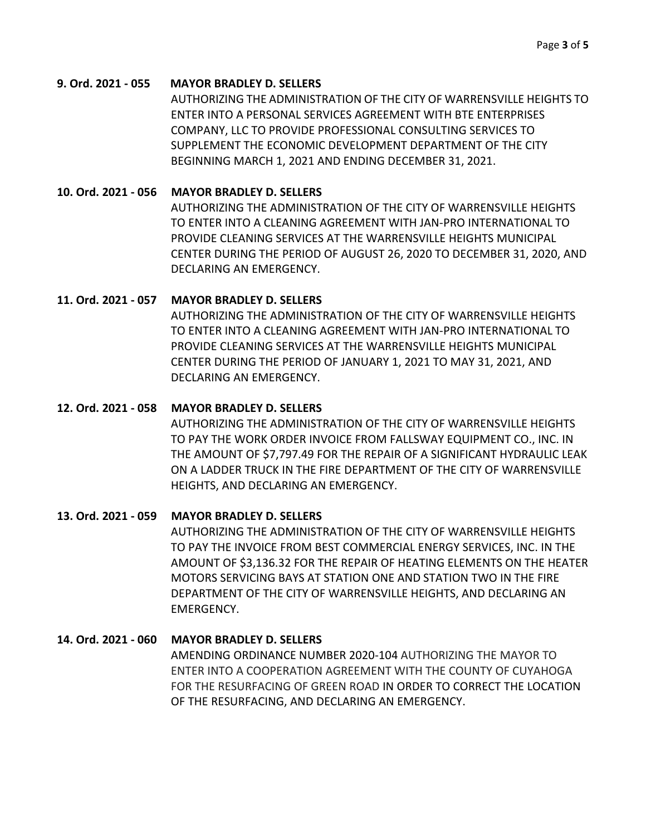#### **9. Ord. 2021 - 055 MAYOR BRADLEY D. SELLERS**

AUTHORIZING THE ADMINISTRATION OF THE CITY OF WARRENSVILLE HEIGHTS TO ENTER INTO A PERSONAL SERVICES AGREEMENT WITH BTE ENTERPRISES COMPANY, LLC TO PROVIDE PROFESSIONAL CONSULTING SERVICES TO SUPPLEMENT THE ECONOMIC DEVELOPMENT DEPARTMENT OF THE CITY BEGINNING MARCH 1, 2021 AND ENDING DECEMBER 31, 2021.

#### **10. Ord. 2021 - 056 MAYOR BRADLEY D. SELLERS**

AUTHORIZING THE ADMINISTRATION OF THE CITY OF WARRENSVILLE HEIGHTS TO ENTER INTO A CLEANING AGREEMENT WITH JAN-PRO INTERNATIONAL TO PROVIDE CLEANING SERVICES AT THE WARRENSVILLE HEIGHTS MUNICIPAL CENTER DURING THE PERIOD OF AUGUST 26, 2020 TO DECEMBER 31, 2020, AND DECLARING AN EMERGENCY.

#### **11. Ord. 2021 - 057 MAYOR BRADLEY D. SELLERS**

AUTHORIZING THE ADMINISTRATION OF THE CITY OF WARRENSVILLE HEIGHTS TO ENTER INTO A CLEANING AGREEMENT WITH JAN-PRO INTERNATIONAL TO PROVIDE CLEANING SERVICES AT THE WARRENSVILLE HEIGHTS MUNICIPAL CENTER DURING THE PERIOD OF JANUARY 1, 2021 TO MAY 31, 2021, AND DECLARING AN EMERGENCY.

#### **12. Ord. 2021 - 058 MAYOR BRADLEY D. SELLERS**

AUTHORIZING THE ADMINISTRATION OF THE CITY OF WARRENSVILLE HEIGHTS TO PAY THE WORK ORDER INVOICE FROM FALLSWAY EQUIPMENT CO., INC. IN THE AMOUNT OF \$7,797.49 FOR THE REPAIR OF A SIGNIFICANT HYDRAULIC LEAK ON A LADDER TRUCK IN THE FIRE DEPARTMENT OF THE CITY OF WARRENSVILLE HEIGHTS, AND DECLARING AN EMERGENCY.

# **13. Ord. 2021 - 059 MAYOR BRADLEY D. SELLERS**

AUTHORIZING THE ADMINISTRATION OF THE CITY OF WARRENSVILLE HEIGHTS TO PAY THE INVOICE FROM BEST COMMERCIAL ENERGY SERVICES, INC. IN THE AMOUNT OF \$3,136.32 FOR THE REPAIR OF HEATING ELEMENTS ON THE HEATER MOTORS SERVICING BAYS AT STATION ONE AND STATION TWO IN THE FIRE DEPARTMENT OF THE CITY OF WARRENSVILLE HEIGHTS, AND DECLARING AN EMERGENCY.

# **14. Ord. 2021 - 060 MAYOR BRADLEY D. SELLERS**

AMENDING ORDINANCE NUMBER 2020-104 AUTHORIZING THE MAYOR TO ENTER INTO A COOPERATION AGREEMENT WITH THE COUNTY OF CUYAHOGA FOR THE RESURFACING OF GREEN ROAD IN ORDER TO CORRECT THE LOCATION OF THE RESURFACING, AND DECLARING AN EMERGENCY.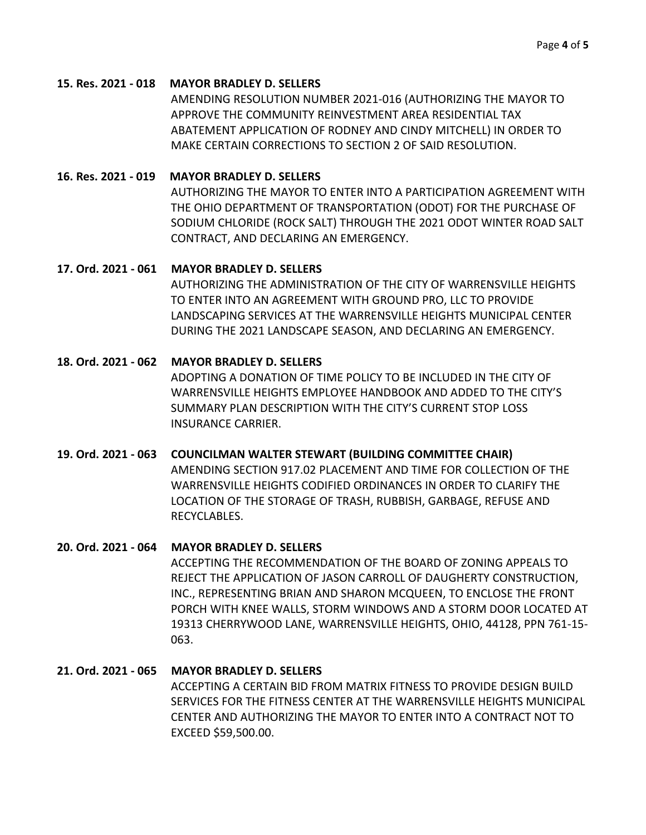#### **15. Res. 2021 - 018 MAYOR BRADLEY D. SELLERS**

AMENDING RESOLUTION NUMBER 2021-016 (AUTHORIZING THE MAYOR TO APPROVE THE COMMUNITY REINVESTMENT AREA RESIDENTIAL TAX ABATEMENT APPLICATION OF RODNEY AND CINDY MITCHELL) IN ORDER TO MAKE CERTAIN CORRECTIONS TO SECTION 2 OF SAID RESOLUTION.

# **16. Res. 2021 - 019 MAYOR BRADLEY D. SELLERS**

AUTHORIZING THE MAYOR TO ENTER INTO A PARTICIPATION AGREEMENT WITH THE OHIO DEPARTMENT OF TRANSPORTATION (ODOT) FOR THE PURCHASE OF SODIUM CHLORIDE (ROCK SALT) THROUGH THE 2021 ODOT WINTER ROAD SALT CONTRACT, AND DECLARING AN EMERGENCY.

#### **17. Ord. 2021 - 061 MAYOR BRADLEY D. SELLERS**

AUTHORIZING THE ADMINISTRATION OF THE CITY OF WARRENSVILLE HEIGHTS TO ENTER INTO AN AGREEMENT WITH GROUND PRO, LLC TO PROVIDE LANDSCAPING SERVICES AT THE WARRENSVILLE HEIGHTS MUNICIPAL CENTER DURING THE 2021 LANDSCAPE SEASON, AND DECLARING AN EMERGENCY.

# **18. Ord. 2021 - 062 MAYOR BRADLEY D. SELLERS**

ADOPTING A DONATION OF TIME POLICY TO BE INCLUDED IN THE CITY OF WARRENSVILLE HEIGHTS EMPLOYEE HANDBOOK AND ADDED TO THE CITY'S SUMMARY PLAN DESCRIPTION WITH THE CITY'S CURRENT STOP LOSS INSURANCE CARRIER.

# **19. Ord. 2021 - 063 COUNCILMAN WALTER STEWART (BUILDING COMMITTEE CHAIR)**

AMENDING SECTION 917.02 PLACEMENT AND TIME FOR COLLECTION OF THE WARRENSVILLE HEIGHTS CODIFIED ORDINANCES IN ORDER TO CLARIFY THE LOCATION OF THE STORAGE OF TRASH, RUBBISH, GARBAGE, REFUSE AND RECYCLABLES.

# **20. Ord. 2021 - 064 MAYOR BRADLEY D. SELLERS**

ACCEPTING THE RECOMMENDATION OF THE BOARD OF ZONING APPEALS TO REJECT THE APPLICATION OF JASON CARROLL OF DAUGHERTY CONSTRUCTION, INC., REPRESENTING BRIAN AND SHARON MCQUEEN, TO ENCLOSE THE FRONT PORCH WITH KNEE WALLS, STORM WINDOWS AND A STORM DOOR LOCATED AT 19313 CHERRYWOOD LANE, WARRENSVILLE HEIGHTS, OHIO, 44128, PPN 761-15- 063.

# **21. Ord. 2021 - 065 MAYOR BRADLEY D. SELLERS** ACCEPTING A CERTAIN BID FROM MATRIX FITNESS TO PROVIDE DESIGN BUILD SERVICES FOR THE FITNESS CENTER AT THE WARRENSVILLE HEIGHTS MUNICIPAL

CENTER AND AUTHORIZING THE MAYOR TO ENTER INTO A CONTRACT NOT TO EXCEED \$59,500.00.